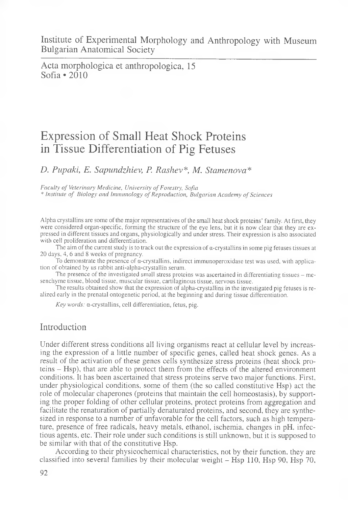Acta morphologica et anthropologica, 15 Sofia «2010

# Expression of Small Heat Shock Proteins in Tissue Differentiation of Pig Fetuses

*D. Pupaki, E. Sapundzhiev, P. Rashev\*, M. Stamenova\**

Faculty of Veterinary Medicine, University of Forestry, Sofia

\* *In stitu te o f B io lo g y a n d Im m u n o lo g y o f R e p ro d u c tio n , B u lg a r ia n A c a d e m y o f S c ie n c e s*

Alpha crystallins are some of the major representatives of the small heat shock proteins' family. At first, they were considered organ-specific, forming the structure of the eye lens, but it is now clear that they are expressed in different tissues and organs, physiologically and under stress. Their expression is also associated with cell proliferation and differentiation.

The aim of the current study is to track out the expression of  $\alpha$ -crystallins in some pig fetuses tissues at 20 days, 4, 6 and 8 weeks of pregnancy.

To demonstrate the presence of  $\alpha$ -crystallins, indirect immunoperoxidase test was used, with application of obtained by us rabbit anti-alpha-crystallin serum.

The presence of the investigated small stress proteins was ascertained in differentiating tissues – mesenchyme tissue, blood tissue, muscular tissue, cartilaginous tissue, nervous tissue.

The results obtained show that the expression of alpha-crystallins in the investigated pig fetuses is realized early in the prenatal ontogenetic period, at the beginning and during tissue differentiation.

*Key words:* α-crystallins, cell differentiation, fetus, pig.

## Introduction

Under different stress conditions all living organisms react at cellular level by increasing the expression of a little number of specific genes, called heat shock genes. As a result of the activation of these genes cells synthesize stress proteins (heat shock proteins - Hsp), that are able to protect them from the effects of the altered environment conditions. It has been ascertained that stress proteins serve two major functions. First, under physiological conditions, some of them (the so called constitutive Hsp) act the role of molecular chaperones (proteins that maintain the cell homeostasis), by supporting the proper folding of other cellular proteins, protect proteins from aggregation and facilitate the renaturation of partially denaturated proteins, and second, they are synthesized in response to a number of unfavorable for the cell factors, such as high temperature, presence of free radicals, heavy metals, ethanol, ischemia, changes in pH, infectious agents, etc. Their role under such conditions is still unknown, but it is supposed to be similar with that of the constitutive Hsp.

According to their physicochemical characteristics, not by their function, they are classified into several families by their molecular weight - Hsp 110, Hsp 90, Hsp 70,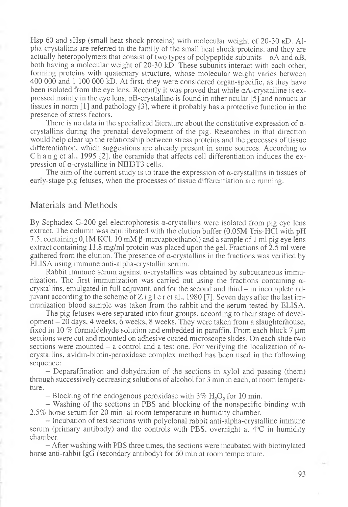Hsp 60 and sHsp (small heat shock proteins) with molecular weight of 20-30 kD. Alpha-crystallins are referred to the family of the small heat shock proteins, and they are actually heteropolymers that consist of two types of polypeptide subunits  $-\alpha A$  and  $\alpha B$ , both having a molecular weight of 20-30 kD. These subunits interact with each other, forming proteins with quaternary structure, whose molecular weight varies between 400 000 and 1 100 000 kD. At first, they were considered organ-specific, as they have been isolated from the eye lens. Recently it was proved that while  $\alpha$ A-crystalline is expressed mainly in the eye lens,  $\alpha$ B-crystalline is found in other ocular [5] and nonucular tissues in norm [1] and pathology [3], where it probably has a protective function in the presence of stress factors.

There is no data in the specialized literature about the constitutive expression of  $\alpha$ crystallins during the prenatal development of the pig. Researches in that direction would help clear up the relationship between stress proteins and the processes of tissue differentiation, which suggestions are already present in some sources. According to C h an g et al., 1995 [2], the ceramide that affects cell differentiation induces the expression of a-crystalline in NIH3T3 cells.

The aim of the current study is to trace the expression of  $\alpha$ -crystallins in tissues of early-stage pig fetuses, when the processes of tissue differentiation are running.

#### Materials and Methods

By Sephadex G-200 gel electrophoresis  $\alpha$ -crystallins were isolated from pig eye lens extract. The column was equilibrated with the elution buffer (0.05M Tris-HCl with pH 7.5, containing  $0,1M$  KCl, 10 mM  $\beta$ -mercaptoethanol) and a sample of 1 ml pig eye lens extract containing 11,8 mg/ml protein was placed upon the gel. Fractions of 2,5 ml were gathered from the elution. The presence of  $\alpha$ -crystallins in the fractions was verified by ELISA using immune anti-alpha-crystallin serum.

Rabbit immune serum against  $\alpha$ -crystallins was obtained by subcutaneous immunization. The first immunization was carried out using the fractions containing  $\alpha$ crystallins, emulgated in full adjuvant, and for the second and third - in incomplete adjuvant according to the scheme of Z i g l e r et al., 1980 [7]. Seven days after the last immunization blood sample was taken from the rabbit and the serum tested by ELISA.

The pig fetuses were separated into four groups, according to their stage of development  $-20$  days, 4 weeks, 6 weeks, 8 weeks. They were taken from a slaughterhouse, fixed in 10 % formaldehyde solution and embedded in paraffin. From each block 7  $\mu$ m sections were cut and mounted on adhesive coated microscope slides. On each slide two sections were mounted – a control and a test one. For verifying the localization of  $\alpha$ crystallins, avidin-biotin-peroxidase complex method has been used in the following sequence:

- Deparaffination and dehydration of the sections in xylol and passing (them) through successively decreasing solutions of alcohol for 3 min in each, at room temperature.

 $-$  Blocking of the endogenous peroxidase with  $3\%$  H<sub>2</sub>O<sub>2</sub>, for 10 min.

- Washing of the sections in PBS and blocking of the nonspecific binding with 2,5% horse serum for 20 min at room temperature in humidity chamber.

- Incubation of test sections with polyclonal rabbit anti-alpha-crystalline immune serum (primary antibody) and the controls with PBS, overnight at 4°C in humidity chamber.

- After washing with PBS three times, the sections were incubated with biotinylated horse anti-rabbit IgG (secondary antibody) for 60 min at room temperature.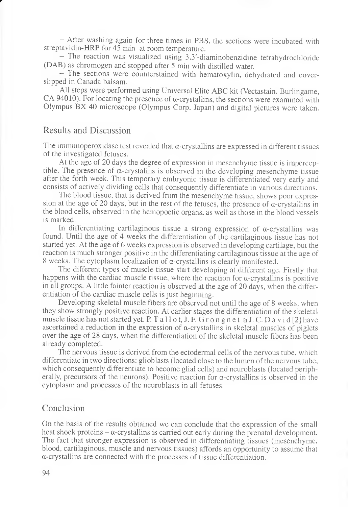*—* After washing again for three times in PBS, the sections were incubated with streptavidin-HRP for 45 min at room temperature.

— The reaction was visualized using 3,3'-diaminobenzidine tetrahydrochloride (DAB) as chromogen and stopped after 5 min with distilled water.

— The sections were counterstained with hematoxylin, dehydrated and coverslipped in Canada balsam.

All steps were performed using Universal Elite ABC kit (Vectastain, Burlingame, CA 94010). For locating the presence of  $\alpha$ -crystallins, the sections were examined with Olympus BX 40 microscope (Olympus Corp. Japan) and digital pictures were taken.

## Results and Discussion

*r*

The immunoperoxidase test revealed that  $\alpha$ -crystallins are expressed in different tissues of the investigated fetuses.

At the age of 20 days the degree of expression in mesenchyme tissue is imperceptible. The presence of  $\alpha$ -crystalins is observed in the developing mesenchyme tissue after the forth week. This temporary embryonic tissue is differentiated very early and consists of actively dividing cells that consequently differentiate in various directions.

The blood tissue, that is derived from the mesenchyme tissue, shows poor expression at the age of 20 days, but in the rest of the fetuses, the presence of  $\alpha$ -crystallins in the blood cells, observed in the hemopoetic organs, as well as those in the blood vessels is marked.

In differentiating cartilaginous tissue a strong expression of  $\alpha$ -crystallins was found. Until the age of 4 weeks the differentiation of the cartilaginous tissue has not started yet. At the age of 6 weeks expression is observed in developing cartilage, but the reaction is much stronger positive in the differentiating cartilaginous tissue at the age of 8 weeks. The cytoplasm localization of a-crystallins is clearly manifested.

The different types of muscle tissue start developing at different age. Firstly that happens with the cardiac muscle tissue, where the reaction for  $\alpha$ -crystallins is positive in all groups. A little fainter reaction is observed at the age of 20 days, when the differentiation of the cardiac muscle cells is just beginning.

Developing skeletal muscle fibers are observed not until the age of 8 weeks, when they show strongly positive reaction. At earlier stages the differentiation of the skeletal muscle tissue has not started yet. P. T a 11 o t, J. F. G r o n g n e t и J. C. D a v i d [2] have ascertained a reduction in the expression of  $\alpha$ -crystallins in skeletal muscles of piglets over the age of 28 days, when the differentiation of the skeletal muscle fibers has been already completed.

The nervous tissue is derived from the ectodermal cells of the nervous tube, which differentiate in two directions: glioblasts (located close to the lumen of the nervous tube, which consequently differentiate to become glial cells) and neuroblasts (located peripherally, precursors of the neurons). Positive reaction for  $\alpha$ -crystallins is observed in the cytoplasm and processes of the neuroblasts in all fetuses.

### Conclusion

On the basis of the results obtained we can conclude that the expression of the small heat shock proteins  $-\alpha$ -crystallins is carried out early during the prenatal development. The fact that stronger expression is observed in differentiating tissues (mesenchyme, blood, cartilaginous, muscle and nervous tissues) affords an opportunity to assume that a-crystallins are connected with the processes of tissue differentiation.